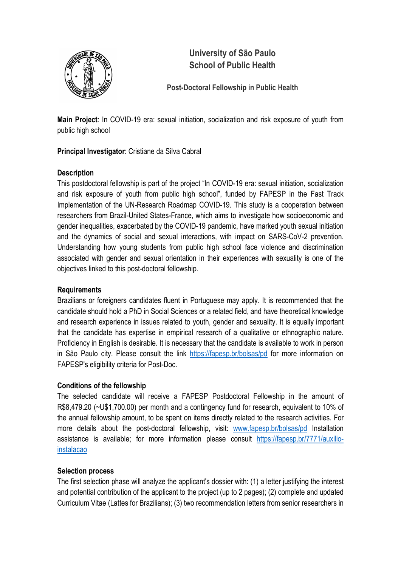

# University of São Paulo School of Public Health

## Post-Doctoral Fellowship in Public Health

Main Project: In COVID-19 era: sexual initiation, socialization and risk exposure of youth from public high school

Principal Investigator: Cristiane da Silva Cabral

### **Description**

This postdoctoral fellowship is part of the project "In COVID-19 era: sexual initiation, socialization and risk exposure of youth from public high school", funded by FAPESP in the Fast Track Implementation of the UN-Research Roadmap COVID-19. This study is a cooperation between researchers from Brazil-United States-France, which aims to investigate how socioeconomic and gender inequalities, exacerbated by the COVID-19 pandemic, have marked youth sexual initiation and the dynamics of social and sexual interactions, with impact on SARS-CoV-2 prevention. Understanding how young students from public high school face violence and discrimination associated with gender and sexual orientation in their experiences with sexuality is one of the objectives linked to this post-doctoral fellowship.

#### Requirements

Brazilians or foreigners candidates fluent in Portuguese may apply. It is recommended that the candidate should hold a PhD in Social Sciences or a related field, and have theoretical knowledge and research experience in issues related to youth, gender and sexuality. It is equally important that the candidate has expertise in empirical research of a qualitative or ethnographic nature. Proficiency in English is desirable. It is necessary that the candidate is available to work in person in São Paulo city. Please consult the link https://fapesp.br/bolsas/pd for more information on FAPESP's eligibility criteria for Post-Doc.

#### Conditions of the fellowship

The selected candidate will receive a FAPESP Postdoctoral Fellowship in the amount of R\$8,479.20 (~U\$1,700.00) per month and a contingency fund for research, equivalent to 10% of the annual fellowship amount, to be spent on items directly related to the research activities. For more details about the post-doctoral fellowship, visit: www.fapesp.br/bolsas/pd Installation assistance is available; for more information please consult https://fapesp.br/7771/auxilioinstalacao

#### Selection process

The first selection phase will analyze the applicant's dossier with: (1) a letter justifying the interest and potential contribution of the applicant to the project (up to 2 pages); (2) complete and updated Curriculum Vitae (Lattes for Brazilians); (3) two recommendation letters from senior researchers in